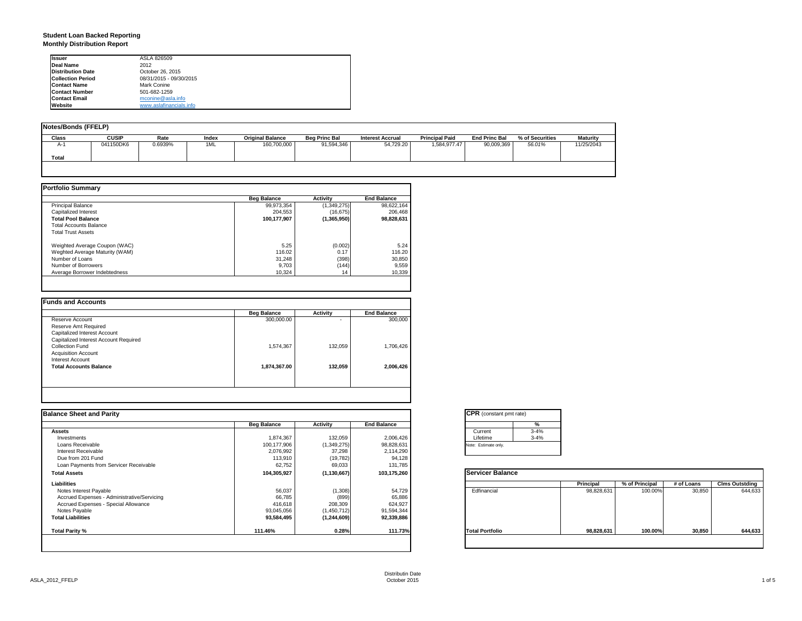### **Student Loan Backed Reporting Monthly Distribution Report**

| <b>Issuer</b>            | ASLA 826509             |  |
|--------------------------|-------------------------|--|
| Deal Name                | 2012                    |  |
| <b>Distribution Date</b> | October 26, 2015        |  |
| <b>Collection Period</b> | 08/31/2015 - 09/30/2015 |  |
| <b>Contact Name</b>      | Mark Conine             |  |
| <b>Contact Number</b>    | 501-682-1259            |  |
| <b>Contact Email</b>     | mconine@asla.info       |  |
| Website                  | www.aslafinancials.info |  |

| Notes/Bonds (FFELP) |              |         |       |                         |                      |                         |                       |                      |                 |                 |
|---------------------|--------------|---------|-------|-------------------------|----------------------|-------------------------|-----------------------|----------------------|-----------------|-----------------|
| <b>Class</b>        | <b>CUSIP</b> | Rate    | Index | <b>Original Balance</b> | <b>Beg Princ Bal</b> | <b>Interest Accrual</b> | <b>Principal Paid</b> | <b>End Princ Bal</b> | % of Securities | <b>Maturity</b> |
| $A-1$               | 041150DK6    | 0.6939% | 1ML   | 160,700,000             | 91,594,346           | 54.729.20               | 1.584.977.47          | 90.009.369           | 56.01%          | 11/25/2043      |
| Total               |              |         |       |                         |                      |                         |                       |                      |                 |                 |
|                     |              |         |       |                         |                      |                         |                       |                      |                 |                 |

|                                | <b>Beg Balance</b> | <b>Activity</b> | <b>End Balance</b> |
|--------------------------------|--------------------|-----------------|--------------------|
| <b>Principal Balance</b>       | 99,973,354         | (1,349,275)     | 98.622.164         |
| Capitalized Interest           | 204.553            | (16, 675)       | 206.468            |
| <b>Total Pool Balance</b>      | 100.177.907        | (1,365,950)     | 98.828.631         |
| <b>Total Accounts Balance</b>  |                    |                 |                    |
| <b>Total Trust Assets</b>      |                    |                 |                    |
| Weighted Average Coupon (WAC)  | 5.25               | (0.002)         | 5.24               |
| Weghted Average Maturity (WAM) | 116.02             | 0.17            | 116.20             |
| Number of Loans                | 31.248             | (398)           | 30,850             |
| Number of Borrowers            | 9.703              | (144)           | 9,559              |
| Average Borrower Indebtedness  | 10.324             | 14              | 10,339             |

|                                       | <b>Beg Balance</b> | <b>Activity</b> | <b>End Balance</b> |
|---------------------------------------|--------------------|-----------------|--------------------|
| Reserve Account                       | 300,000.00         |                 | 300,000            |
| Reserve Amt Required                  |                    |                 |                    |
| Capitalized Interest Account          |                    |                 |                    |
| Capitalized Interest Account Required |                    |                 |                    |
| Collection Fund                       | 1,574,367          | 132.059         | 1,706,426          |
| <b>Acquisition Account</b>            |                    |                 |                    |
| Interest Account                      |                    |                 |                    |
| <b>Total Accounts Balance</b>         | 1,874,367.00       | 132.059         | 2,006,426          |
|                                       |                    |                 |                    |
|                                       |                    |                 |                    |
|                                       |                    |                 |                    |

| <b>Balance Sheet and Parity</b>             |                    |               |                    | <b>CPR</b> (constant pmt rate) |            |                |            |                       |
|---------------------------------------------|--------------------|---------------|--------------------|--------------------------------|------------|----------------|------------|-----------------------|
|                                             | <b>Beg Balance</b> | Activity      | <b>End Balance</b> | %                              |            |                |            |                       |
| <b>Assets</b>                               |                    |               |                    | $3 - 4%$<br>Current            |            |                |            |                       |
| Investments                                 | 1,874,367          | 132,059       | 2,006,426          | Lifetime<br>$3 - 4%$           |            |                |            |                       |
| Loans Receivable                            | 100,177,906        | (1,349,275)   | 98,828,631         | Note: Estimate only.           |            |                |            |                       |
| Interest Receivable                         | 2,076,992          | 37,298        | 2,114,290          |                                |            |                |            |                       |
| Due from 201 Fund                           | 113,910            | (19, 782)     | 94,128             |                                |            |                |            |                       |
| Loan Payments from Servicer Receivable      | 62,752             | 69,033        | 131,785            |                                |            |                |            |                       |
| <b>Total Assets</b>                         | 104,305,927        | (1, 130, 667) | 103,175,260        | <b>Servicer Balance</b>        |            |                |            |                       |
| Liabilities                                 |                    |               |                    |                                | Principal  | % of Principal | # of Loans | <b>Clms Outstding</b> |
| Notes Interest Payable                      | 56,037             | (1,308)       | 54,729             | Edfinancial                    | 98,828,631 | 100.00%        | 30,850     | 644,633               |
| Accrued Expenses - Administrative/Servicing | 66,785             | (899          | 65,886             |                                |            |                |            |                       |
| Accrued Expenses - Special Allowance        | 416,618            | 208,309       | 624,927            |                                |            |                |            |                       |
| Notes Payable                               | 93,045,056         | (1,450,712)   | 91,594,344         |                                |            |                |            |                       |
| <b>Total Liabilities</b>                    | 93,584,495         | (1, 244, 609) | 92,339,886         |                                |            |                |            |                       |
| <b>Total Parity %</b>                       | 111.46%            | 0.28%         | 111.73%            | <b>Total Portfolio</b>         | 98,828,631 | 100.00%        | 30,850     | 644,633               |
|                                             |                    |               |                    |                                |            |                |            |                       |

|          | %        |
|----------|----------|
| Current  | $3 - 4%$ |
| Lifetime | $3 - 4%$ |

|                        | Principal  | % of Principal | # of Loans | <b>Clms Outstding</b> |
|------------------------|------------|----------------|------------|-----------------------|
| Edfinancial            | 98,828,631 | 100.00%        | 30,850     | 644,633               |
| <b>Total Portfolio</b> | 98,828,631 | 100.00%        | 30,850     | 644,633               |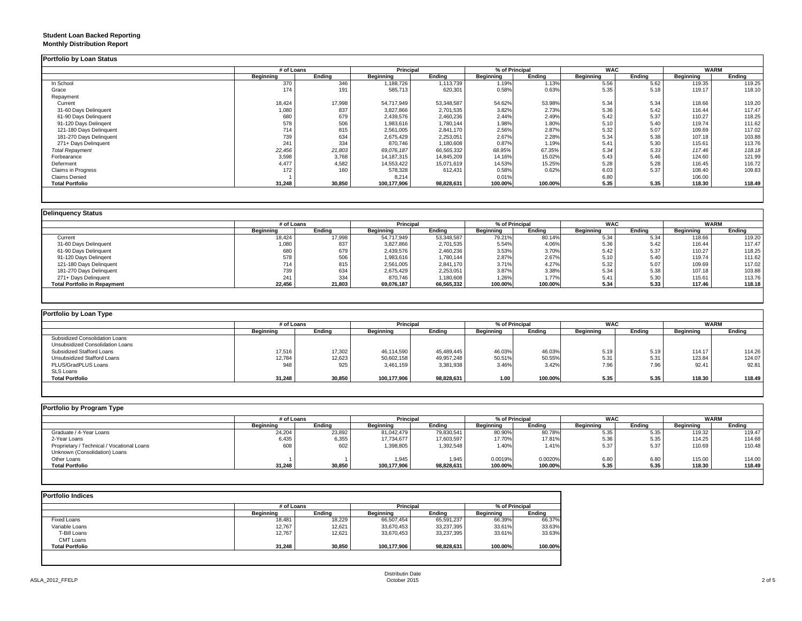### **Student Loan Backed Reporting Monthly Distribution Report**

|                           | # of Loans |        | <b>Principal</b> |            | % of Principal |         | <b>WAC</b> |        | <b>WARM</b> |        |
|---------------------------|------------|--------|------------------|------------|----------------|---------|------------|--------|-------------|--------|
|                           | Beginning  | Ending | Beginning        | Ending     | Beginning      | Ending  | Beginning  | Ending | Beginning   | Ending |
| In School                 | 370        | 346    | 1,188,726        | 1,113,739  | 1.19%          | 1.13%   | 5.56       | 5.62   | 119.35      | 119.25 |
| Grace                     | 174        | 191    | 585,713          | 620,301    | 0.58%          | 0.63%   | 5.35       | 5.18   | 119.17      | 118.10 |
| Repayment                 |            |        |                  |            |                |         |            |        |             |        |
| Current                   | 18,424     | 17,998 | 54.717.949       | 53,348,587 | 54.62%         | 53.98%  | 5.34       | 5.34   | 118.66      | 119.20 |
| 31-60 Days Delinquent     | 1,080      | 837    | 3,827,866        | 2,701,535  | 3.82%          | 2.73%   | 5.36       | 5.42   | 116.44      | 117.47 |
| 61-90 Days Delinquent     | 680        | 679    | 2,439,576        | 2,460,236  | 2.44%          | 2.49%   | 5.42       | 5.37   | 110.27      | 118.25 |
| 91-120 Days Delingent     | 578        | 506    | 1,983,616        | 1,780,144  | 1.98%          | 1.80%   | 5.10       | 5.40   | 119.74      | 111.62 |
| 121-180 Days Delinquent   | 714        | 815    | 2,561,005        | 2,841,170  | 2.56%          | 2.87%   | 5.32       | 5.07   | 109.69      | 117.02 |
| 181-270 Days Delinquent   | 739        | 634    | 2,675,429        | 2,253,051  | 2.67%          | 2.28%   | 5.34       | 5.38   | 107.18      | 103.88 |
| 271+ Days Delinquent      | 241        | 334    | 870,746          | 1,180,608  | 0.87%          | 1.19%   | 5.41       | 5.30   | 115.61      | 113.76 |
| <b>Total Repayment</b>    | 22,456     | 21,803 | 69,076,187       | 66,565,332 | 68.95%         | 67.35%  | 5.34       | 5.33   | 117.46      | 118.18 |
| Forbearance               | 3,598      | 3,768  | 14,187,315       | 14,845,209 | 14.16%         | 15.02%  | 5.43       | 5.46   | 124.60      | 121.99 |
| Deferment                 | 4,477      | 4,582  | 14,553,422       | 15,071,619 | 14.53%         | 15.25%  | 5.28       | 5.28   | 116.45      | 116.72 |
| <b>Claims in Progress</b> | 172        | 160    | 578,328          | 612,431    | 0.58%          | 0.62%   | 6.03       | 5.37   | 108.40      | 109.83 |
| <b>Claims Denied</b>      |            |        | 8,214            |            | 0.01%          |         | 6.80       |        | 106.00      |        |
| <b>Total Portfolio</b>    | 31,248     | 30,850 | 100,177,906      | 98,828,631 | 100.00%        | 100.00% | 5.35       | 5.35   | 118.30      | 118.49 |

|                                     | # of Loans |        | Principal  |            | % of Principal |         | <b>WAC</b> |        | <b>WARM</b> |        |
|-------------------------------------|------------|--------|------------|------------|----------------|---------|------------|--------|-------------|--------|
|                                     | Beainnina  | Ending | Beginning  | Ending     | Beginning      | Ending  | Beginning  | Endina | Beginning   | Endina |
| Current                             | 18,424     | 17,998 | 54,717,949 | 53,348,587 | 79.21%         | 80.14%  | 5.34       | 5.34   | 118.66      | 119.20 |
| 31-60 Days Delinquent               | 1.080      | 837    | 3,827,866  | 2.701.535  | 5.54%          | 4.06%   | 5.36       | 5.42   | 116.44      | 117.47 |
| 61-90 Days Delinquent               | 680        | 679    | 2,439,576  | 2,460,236  | 3.53%          | 3.70%   | 5.42       | 5.37   | 110.27      | 118.25 |
| 91-120 Days Delingent               | 578        | 506    | 1,983,616  | 1,780,144  | 2.87%          | 2.67%   | 5.10       | 5.40   | 119.74      | 111.62 |
| 121-180 Days Delinquent             | 714        | 815    | 2,561,005  | 2,841,170  | 3.71%          | 4.27%   | 5.32       | 5.07   | 109.69      | 117.02 |
| 181-270 Days Delinquent             | 739        | 634    | 2,675,429  | 2,253,051  | 3.87%          | 3.38%   | 5.34       | 5.38   | 107.18      | 103.88 |
| 271+ Days Delinquent                | 241        | 334    | 870,746    | 1,180,608  | 1.26%          | 1.77%   | 5.41       | 5.30   | 115.61      | 113.76 |
| <b>Total Portfolio in Repayment</b> | 22,456     | 21,803 | 69,076,187 | 66,565,332 | 100.00%        | 100.00% | 5.34       | 5.33   | 117.46      | 118.18 |

| Portfolio by Loan Type           |                  |        |             |            |                  |                |            |        |           |             |
|----------------------------------|------------------|--------|-------------|------------|------------------|----------------|------------|--------|-----------|-------------|
|                                  | # of Loans       |        | Principal   |            |                  | % of Principal | <b>WAC</b> |        |           | <b>WARM</b> |
|                                  | <b>Beginning</b> | Ending | Beginning   | Ending     | <b>Beginning</b> | Ending         | Beginning  | Ending | Beginning | Ending      |
| Subsidized Consolidation Loans   |                  |        |             |            |                  |                |            |        |           |             |
| Unsubsidized Consolidation Loans |                  |        |             |            |                  |                |            |        |           |             |
| Subsidized Stafford Loans        | 17,516           | 17,302 | 46.114.590  | 45.489.445 | 46.03%           | 46.03%         | 5.19       | 5.19   | 114.17    | 114.26      |
| Unsubsidized Stafford Loans      | 12,784           | 12,623 | 50,602,158  | 49,957,248 | 50.51%           | 50.55%         | 5.31       | 5.31   | 123.84    | 124.07      |
| PLUS/GradPLUS Loans              | 948              | 925    | 3.461.159   | 3,381,938  | 3.46%            | 3.42%          | 7.96       | 7.96   | 92.41     | 92.81       |
| SLS Loans                        |                  |        |             |            |                  |                |            |        |           |             |
| <b>Total Portfolio</b>           | 31,248           | 30,850 | 100,177,906 | 98,828,631 | 1.00             | 100.00%        | 5.35       | 5.35   | 118.30    | 118.49      |

| Portfolio by Program Type                  |                  |        |                  |            |                |         |                  |        |                  |        |
|--------------------------------------------|------------------|--------|------------------|------------|----------------|---------|------------------|--------|------------------|--------|
|                                            | # of Loans       |        | Principal        |            | % of Principal |         | <b>WAC</b>       |        | <b>WARM</b>      |        |
|                                            | <b>Beainning</b> | Endina | <b>Beginning</b> | Endina     | Beginning      | Ending  | <b>Beginning</b> | Endina | <b>Beginning</b> | Ending |
| Graduate / 4-Year Loans                    | 24,204           | 23,892 | 81,042,479       | 79,830,541 | 80.90%         | 80.78%  | 5.35             | 5.35   | 119.32           | 119.47 |
| 2-Year Loans                               | 6,435            | 6,355  | 17,734,677       | 17,603,597 | 17.70%         | 17.81%  | 5.36             | 5.35   | 114.25           | 114.68 |
| Proprietary / Technical / Vocational Loans | 608              | 602    | 1,398,805        | 1,392,548  | 1.40%          | 1.41%   | 5.37             | 5.37   | 110.69           | 110.48 |
| Unknown (Consolidation) Loans              |                  |        |                  |            |                |         |                  |        |                  |        |
| Other Loans                                |                  |        | 1,945            | 1,945      | 0.0019%        | 0.0020% | 6.80             | 6.80   | 115.00           | 114.00 |
| <b>Total Portfolio</b>                     | 31,248           | 30,850 | 100,177,906      | 98,828,631 | 100.00%        | 100.00% | 5.35             | 5.35   | 118.30           | 118.49 |
|                                            |                  |        |                  |            |                |         |                  |        |                  |        |

|                        | # of Loans |        | Principal   |            | % of Principal |         |  |
|------------------------|------------|--------|-------------|------------|----------------|---------|--|
|                        | Beginning  | Ending | Beginning   | Endina     | Beginning      | Endina  |  |
| Fixed Loans            | 18,481     | 18.229 | 66,507,454  | 65,591,237 | 66.39%         | 66.37%  |  |
| Variable Loans         | 12,767     | 12,621 | 33,670,453  | 33,237,395 | 33.61%         | 33.63%  |  |
| T-Bill Loans           | 12,767     | 12,621 | 33,670,453  | 33,237,395 | 33.61%         | 33.63%  |  |
| <b>CMT Loans</b>       |            |        |             |            |                |         |  |
| <b>Total Portfolio</b> | 31,248     | 30,850 | 100,177,906 | 98,828,631 | 100.00%        | 100.00% |  |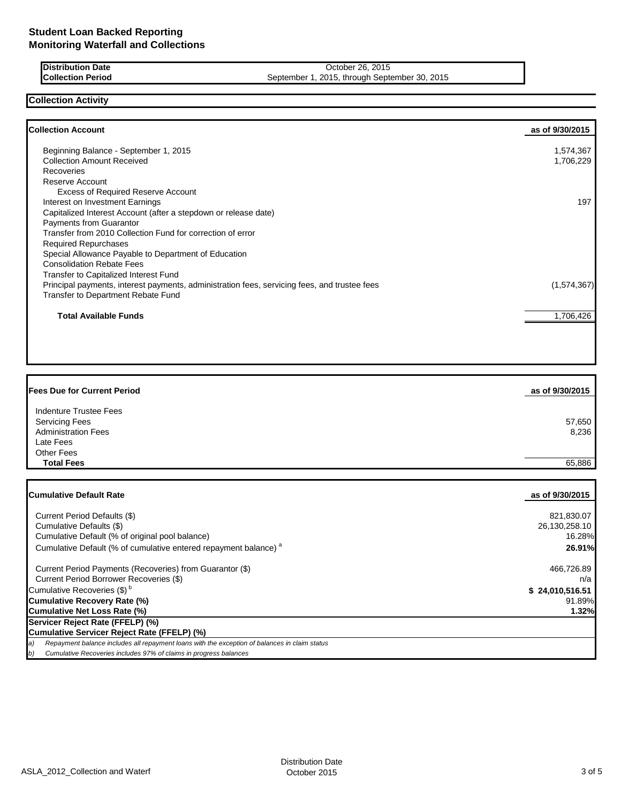| <b>Distribution Date</b> | October 26, 2015                              |
|--------------------------|-----------------------------------------------|
| <b>Collection Period</b> | September 1, 2015, through September 30, 2015 |

## **Collection Activity**

Г

| Beginning Balance - September 1, 2015<br>1,574,367<br><b>Collection Amount Received</b><br>1,706,229<br>Recoveries<br>Reserve Account<br><b>Excess of Required Reserve Account</b><br>Interest on Investment Earnings<br>197 |
|------------------------------------------------------------------------------------------------------------------------------------------------------------------------------------------------------------------------------|
|                                                                                                                                                                                                                              |
|                                                                                                                                                                                                                              |
|                                                                                                                                                                                                                              |
|                                                                                                                                                                                                                              |
|                                                                                                                                                                                                                              |
|                                                                                                                                                                                                                              |
| Capitalized Interest Account (after a stepdown or release date)                                                                                                                                                              |
| Payments from Guarantor                                                                                                                                                                                                      |
| Transfer from 2010 Collection Fund for correction of error                                                                                                                                                                   |
| <b>Required Repurchases</b>                                                                                                                                                                                                  |
| Special Allowance Payable to Department of Education                                                                                                                                                                         |
| <b>Consolidation Rebate Fees</b>                                                                                                                                                                                             |
| Transfer to Capitalized Interest Fund                                                                                                                                                                                        |
| Principal payments, interest payments, administration fees, servicing fees, and trustee fees<br>(1,574,367)                                                                                                                  |
| Transfer to Department Rebate Fund                                                                                                                                                                                           |
| <b>Total Available Funds</b><br>1,706,426                                                                                                                                                                                    |

| <b>Fees Due for Current Period</b> | as of 9/30/2015 |
|------------------------------------|-----------------|
| Indenture Trustee Fees             |                 |
| <b>Servicing Fees</b>              | 57,650          |
| <b>Administration Fees</b>         | 8,236           |
| Late Fees                          |                 |
| <b>Other Fees</b>                  |                 |
| <b>Total Fees</b>                  | 65.886          |

| <b>ICumulative Default Rate</b>                                                                     | as of 9/30/2015 |
|-----------------------------------------------------------------------------------------------------|-----------------|
|                                                                                                     |                 |
| Current Period Defaults (\$)                                                                        | 821,830.07      |
| Cumulative Defaults (\$)                                                                            | 26.130.258.10   |
| Cumulative Default (% of original pool balance)                                                     | 16.28%          |
| Cumulative Default (% of cumulative entered repayment balance) <sup>a</sup>                         | 26.91%          |
| Current Period Payments (Recoveries) from Guarantor (\$)                                            | 466,726.89      |
| Current Period Borrower Recoveries (\$)                                                             | n/a             |
| Cumulative Recoveries (\$) <sup>b</sup>                                                             | \$24,010,516.51 |
| Cumulative Recovery Rate (%)                                                                        | 91.89%          |
| Cumulative Net Loss Rate (%)                                                                        | 1.32%           |
| Servicer Reject Rate (FFELP) (%)                                                                    |                 |
| Cumulative Servicer Reject Rate (FFELP) (%)                                                         |                 |
| Repayment balance includes all repayment loans with the exception of balances in claim status<br>a) |                 |
| Cumulative Recoveries includes 97% of claims in progress halances<br>h                              |                 |

*Cumulative Recoveries includes 97% of claims in progress balances balances balances bandative Recoveries*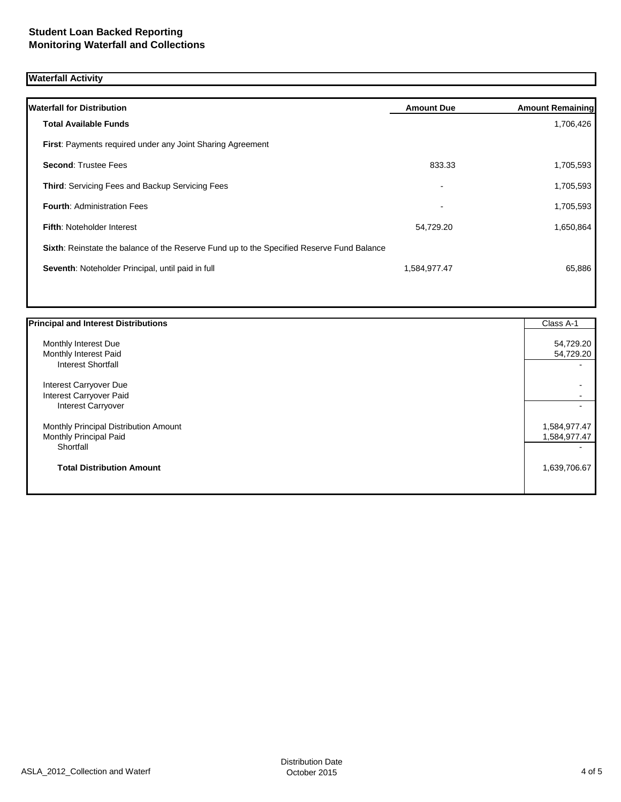# **Waterfall Activity**

| <b>Waterfall for Distribution</b>                                                         | <b>Amount Due</b> | <b>Amount Remaining</b> |
|-------------------------------------------------------------------------------------------|-------------------|-------------------------|
| <b>Total Available Funds</b>                                                              |                   | 1,706,426               |
| <b>First:</b> Payments required under any Joint Sharing Agreement                         |                   |                         |
| <b>Second: Trustee Fees</b>                                                               | 833.33            | 1,705,593               |
| <b>Third: Servicing Fees and Backup Servicing Fees</b>                                    | $\blacksquare$    | 1,705,593               |
| <b>Fourth: Administration Fees</b>                                                        | $\blacksquare$    | 1,705,593               |
| <b>Fifth: Noteholder Interest</b>                                                         | 54,729.20         | 1,650,864               |
| Sixth: Reinstate the balance of the Reserve Fund up to the Specified Reserve Fund Balance |                   |                         |
| Seventh: Noteholder Principal, until paid in full                                         | 1,584,977.47      | 65,886                  |
|                                                                                           |                   |                         |

| <b>Principal and Interest Distributions</b> | Class A-1    |
|---------------------------------------------|--------------|
| Monthly Interest Due                        | 54,729.20    |
| Monthly Interest Paid                       | 54,729.20    |
| <b>Interest Shortfall</b>                   |              |
| Interest Carryover Due                      |              |
| Interest Carryover Paid                     |              |
| <b>Interest Carryover</b>                   |              |
| Monthly Principal Distribution Amount       | 1,584,977.47 |
| Monthly Principal Paid                      | 1,584,977.47 |
| Shortfall                                   |              |
| <b>Total Distribution Amount</b>            | 1,639,706.67 |
|                                             |              |